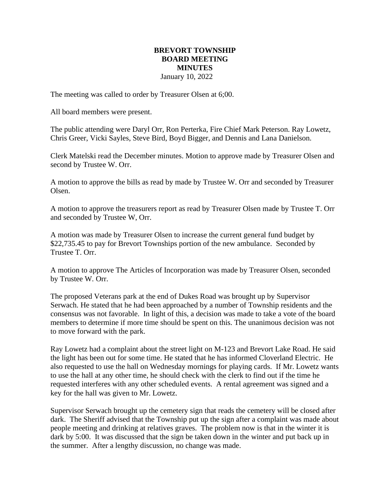## **BREVORT TOWNSHIP BOARD MEETING MINUTES** January 10, 2022

The meeting was called to order by Treasurer Olsen at 6;00.

All board members were present.

The public attending were Daryl Orr, Ron Perterka, Fire Chief Mark Peterson. Ray Lowetz, Chris Greer, Vicki Sayles, Steve Bird, Boyd Bigger, and Dennis and Lana Danielson.

Clerk Matelski read the December minutes. Motion to approve made by Treasurer Olsen and second by Trustee W. Orr.

A motion to approve the bills as read by made by Trustee W. Orr and seconded by Treasurer Olsen.

A motion to approve the treasurers report as read by Treasurer Olsen made by Trustee T. Orr and seconded by Trustee W, Orr.

A motion was made by Treasurer Olsen to increase the current general fund budget by \$22,735.45 to pay for Brevort Townships portion of the new ambulance. Seconded by Trustee T. Orr.

A motion to approve The Articles of Incorporation was made by Treasurer Olsen, seconded by Trustee W. Orr.

The proposed Veterans park at the end of Dukes Road was brought up by Supervisor Serwach. He stated that he had been approached by a number of Township residents and the consensus was not favorable. In light of this, a decision was made to take a vote of the board members to determine if more time should be spent on this. The unanimous decision was not to move forward with the park.

Ray Lowetz had a complaint about the street light on M-123 and Brevort Lake Road. He said the light has been out for some time. He stated that he has informed Cloverland Electric. He also requested to use the hall on Wednesday mornings for playing cards. If Mr. Lowetz wants to use the hall at any other time, he should check with the clerk to find out if the time he requested interferes with any other scheduled events. A rental agreement was signed and a key for the hall was given to Mr. Lowetz.

Supervisor Serwach brought up the cemetery sign that reads the cemetery will be closed after dark. The Sheriff advised that the Township put up the sign after a complaint was made about people meeting and drinking at relatives graves. The problem now is that in the winter it is dark by 5:00. It was discussed that the sign be taken down in the winter and put back up in the summer. After a lengthy discussion, no change was made.